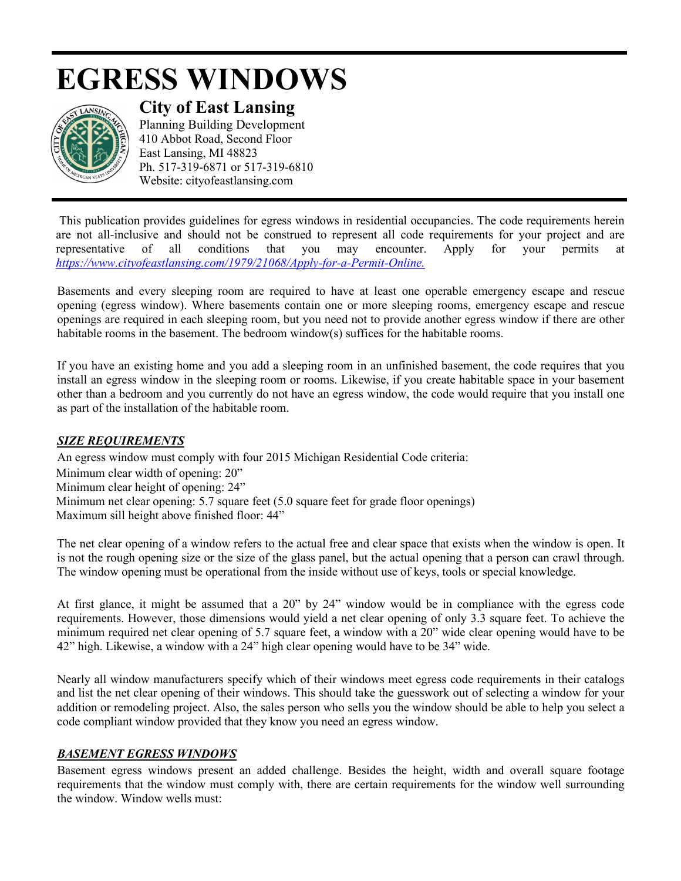# **EGRESS WINDOWS**



**City of East Lansing** 

Planning Building Development 410 Abbot Road, Second Floor East Lansing, MI 48823 Ph. 517-319-6871 or 517-319-6810 Website: cityofeastlansing.com

This publication provides guidelines for egress windows in residential occupancies. The code requirements herein are not all-inclusive and should not be construed to represent all code requirements for your project and are representative of all conditions that you may encounter. Apply for your permits at *[https://www.cityofeastlansing.com/1979/21068/Apply-for-a-Permit-Online.](https://gcc02.safelinks.protection.outlook.com/?url=https%3A%2F%2Fwww.cityofeastlansing.com%2F1979%2F21068%2FApply-for-a-Permit-Online&data=02%7C01%7Clyabs%40cityofeastlansing.com%7Cb9fe59df82de4643f38008d84e6d8f26%7C42c2237340d243c6b22f2c6f445fa115%7C0%7C0%7C637345579751519156&sdata=JYaSysmPHUZPke1N8AkQPIhf%2Bps%2FuXYwaY23UuMZrWo%3D&reserved=0)*

Basements and every sleeping room are required to have at least one operable emergency escape and rescue opening (egress window). Where basements contain one or more sleeping rooms, emergency escape and rescue openings are required in each sleeping room, but you need not to provide another egress window if there are other habitable rooms in the basement. The bedroom window(s) suffices for the habitable rooms.

If you have an existing home and you add a sleeping room in an unfinished basement, the code requires that you install an egress window in the sleeping room or rooms. Likewise, if you create habitable space in your basement other than a bedroom and you currently do not have an egress window, the code would require that you install one as part of the installation of the habitable room.

# *SIZE REQUIREMENTS*

An egress window must comply with four 2015 Michigan Residential Code criteria: Minimum clear width of opening: 20" Minimum clear height of opening: 24" Minimum net clear opening: 5.7 square feet (5.0 square feet for grade floor openings) Maximum sill height above finished floor: 44"

The net clear opening of a window refers to the actual free and clear space that exists when the window is open. It is not the rough opening size or the size of the glass panel, but the actual opening that a person can crawl through. The window opening must be operational from the inside without use of keys, tools or special knowledge.

At first glance, it might be assumed that a 20" by 24" window would be in compliance with the egress code requirements. However, those dimensions would yield a net clear opening of only 3.3 square feet. To achieve the minimum required net clear opening of 5.7 square feet, a window with a 20" wide clear opening would have to be 42" high. Likewise, a window with a 24" high clear opening would have to be 34" wide.

Nearly all window manufacturers specify which of their windows meet egress code requirements in their catalogs and list the net clear opening of their windows. This should take the guesswork out of selecting a window for your addition or remodeling project. Also, the sales person who sells you the window should be able to help you select a code compliant window provided that they know you need an egress window.

#### *BASEMENT EGRESS WINDOWS*

Basement egress windows present an added challenge. Besides the height, width and overall square footage requirements that the window must comply with, there are certain requirements for the window well surrounding the window. Window wells must: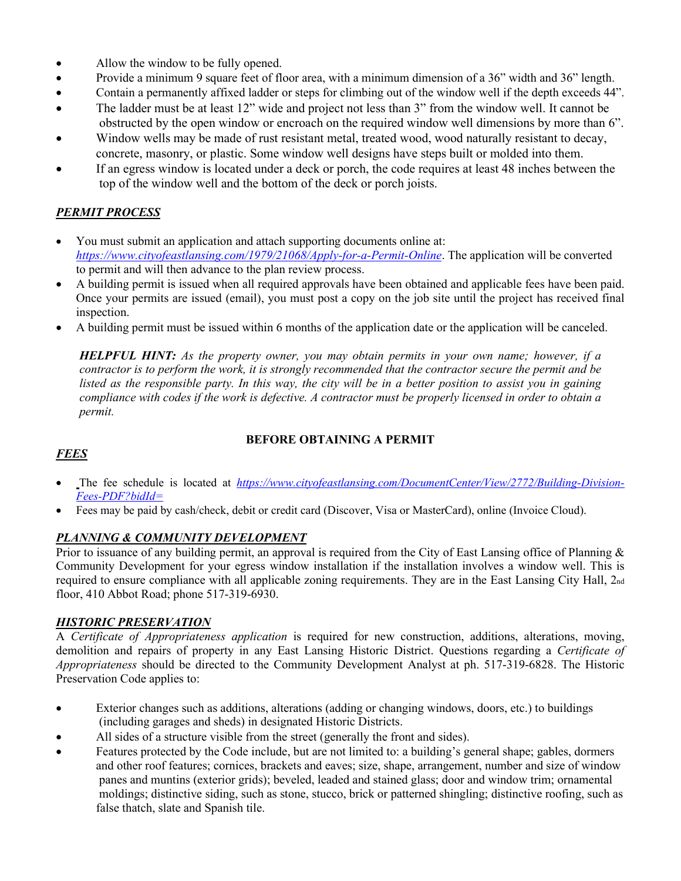- Allow the window to be fully opened.
- Provide a minimum 9 square feet of floor area, with a minimum dimension of a 36" width and 36" length.
- Contain a permanently affixed ladder or steps for climbing out of the window well if the depth exceeds 44".
- The ladder must be at least 12" wide and project not less than 3" from the window well. It cannot be obstructed by the open window or encroach on the required window well dimensions by more than 6".
- Window wells may be made of rust resistant metal, treated wood, wood naturally resistant to decay, concrete, masonry, or plastic. Some window well designs have steps built or molded into them.
- If an egress window is located under a deck or porch, the code requires at least 48 inches between the top of the window well and the bottom of the deck or porch joists.

# *PERMIT PROCESS*

- You must submit an application and attach supporting documents online at: *<https://www.cityofeastlansing.com/1979/21068/Apply-for-a-Permit-Online>*. The application will be converted to permit and will then advance to the plan review process.
- A building permit is issued when all required approvals have been obtained and applicable fees have been paid. Once your permits are issued (email), you must post a copy on the job site until the project has received final inspection.
- A building permit must be issued within 6 months of the application date or the application will be canceled.

*HELPFUL HINT: As the property owner, you may obtain permits in your own name; however, if a contractor is to perform the work, it is strongly recommended that the contractor secure the permit and be listed as the responsible party. In this way, the city will be in a better position to assist you in gaining compliance with codes if the work is defective. A contractor must be properly licensed in order to obtain a permit.* 

# **BEFORE OBTAINING A PERMIT**

# *FEES*

- The fee schedule is located at *https://www.cityofeastlansing.com/DocumentCenter/View/2772/Building-Division-Fees-PDF?bidId=*
- Fees may be paid by cash/check, debit or credit card (Discover, Visa or MasterCard), online (Invoice Cloud).

#### *PLANNING & COMMUNITY DEVELOPMENT*

Prior to issuance of any building permit, an approval is required from the City of East Lansing office of Planning & Community Development for your egress window installation if the installation involves a window well. This is required to ensure compliance with all applicable zoning requirements. They are in the East Lansing City Hall, 2nd floor, 410 Abbot Road; phone 517-319-6930.

#### *HISTORIC PRESERVATION*

A *Certificate of Appropriateness application* is required for new construction, additions, alterations, moving, demolition and repairs of property in any East Lansing Historic District. Questions regarding a *Certificate of Appropriateness* should be directed to the Community Development Analyst at ph. 517-319-6828. The Historic Preservation Code applies to:

- Exterior changes such as additions, alterations (adding or changing windows, doors, etc.) to buildings (including garages and sheds) in designated Historic Districts.
- All sides of a structure visible from the street (generally the front and sides).
- Features protected by the Code include, but are not limited to: a building's general shape; gables, dormers and other roof features; cornices, brackets and eaves; size, shape, arrangement, number and size of window panes and muntins (exterior grids); beveled, leaded and stained glass; door and window trim; ornamental moldings; distinctive siding, such as stone, stucco, brick or patterned shingling; distinctive roofing, such as false thatch, slate and Spanish tile.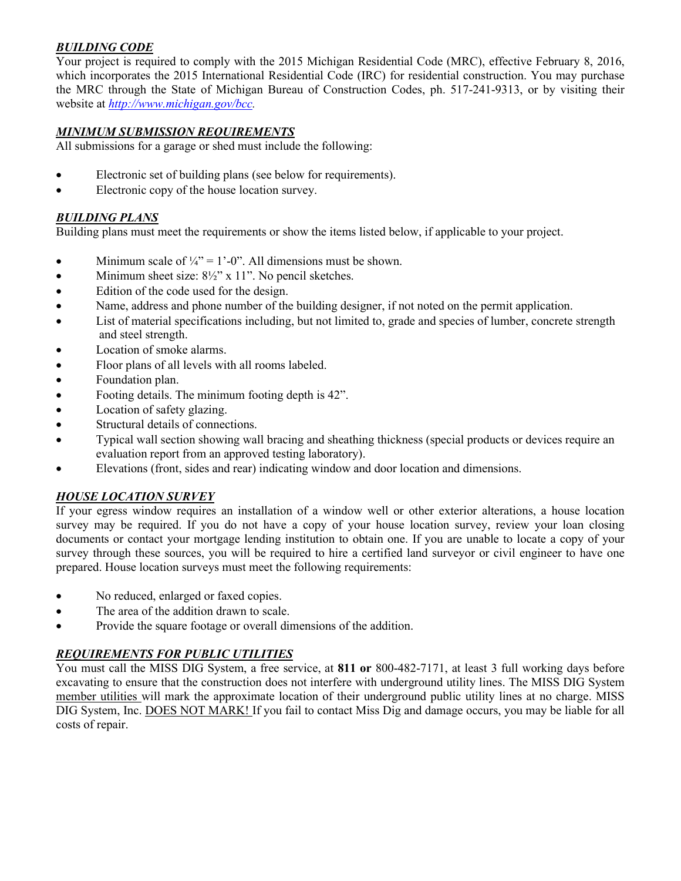### *BUILDING CODE*

Your project is required to comply with the 2015 Michigan Residential Code (MRC), effective February 8, 2016, which incorporates the 2015 International Residential Code (IRC) for residential construction. You may purchase the MRC through the State of Michigan Bureau of Construction Codes, ph. 517-241-9313, or by visiting their website at *[http://www.michigan.gov/bcc.](http://www.michigan.gov/bcc)*

### *MINIMUM SUBMISSION REQUIREMENTS*

All submissions for a garage or shed must include the following:

- Electronic set of building plans (see below for requirements).
- Electronic copy of the house location survey.

#### *BUILDING PLANS*

Building plans must meet the requirements or show the items listed below, if applicable to your project.

- Minimum scale of  $\frac{1}{4}$ " = 1'-0". All dimensions must be shown.
- Minimum sheet size:  $8\frac{1}{2}$ " x 11". No pencil sketches.
- Edition of the code used for the design.
- Name, address and phone number of the building designer, if not noted on the permit application.
- List of material specifications including, but not limited to, grade and species of lumber, concrete strength and steel strength.
- Location of smoke alarms.
- Floor plans of all levels with all rooms labeled.
- Foundation plan.
- Footing details. The minimum footing depth is 42".
- Location of safety glazing.
- Structural details of connections.
- Typical wall section showing wall bracing and sheathing thickness (special products or devices require an evaluation report from an approved testing laboratory).
- Elevations (front, sides and rear) indicating window and door location and dimensions.

#### *HOUSE LOCATION SURVEY*

If your egress window requires an installation of a window well or other exterior alterations, a house location survey may be required. If you do not have a copy of your house location survey, review your loan closing documents or contact your mortgage lending institution to obtain one. If you are unable to locate a copy of your survey through these sources, you will be required to hire a certified land surveyor or civil engineer to have one prepared. House location surveys must meet the following requirements:

- No reduced, enlarged or faxed copies.
- The area of the addition drawn to scale.
- Provide the square footage or overall dimensions of the addition.

#### *REQUIREMENTS FOR PUBLIC UTILITIES*

You must call the MISS DIG System, a free service, at **811 or** 800-482-7171, at least 3 full working days before excavating to ensure that the construction does not interfere with underground utility lines. The MISS DIG System member utilities will mark the approximate location of their underground public utility lines at no charge. MISS DIG System, Inc. DOES NOT MARK! If you fail to contact Miss Dig and damage occurs, you may be liable for all costs of repair.